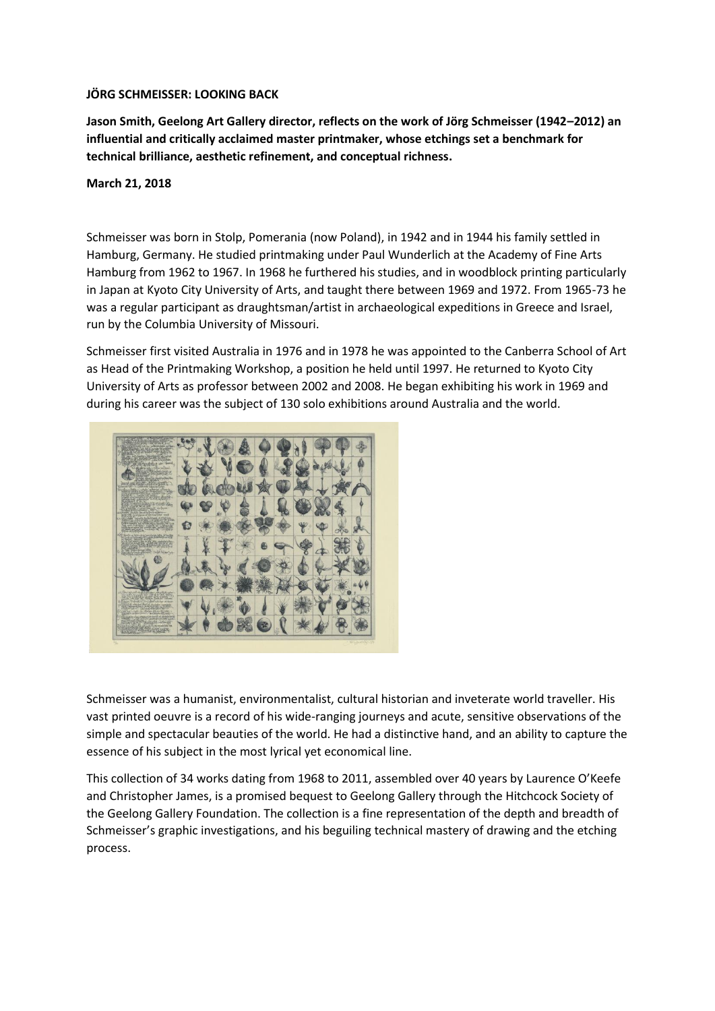## **JÖRG SCHMEISSER: LOOKING BACK**

**Jason Smith, Geelong Art Gallery director, reflects on the work of Jörg Schmeisser (1942–2012) an influential and critically acclaimed master printmaker, whose etchings set a benchmark for technical brilliance, aesthetic refinement, and conceptual richness.**

## **March 21, 2018**

Schmeisser was born in Stolp, Pomerania (now Poland), in 1942 and in 1944 his family settled in Hamburg, Germany. He studied printmaking under Paul Wunderlich at the Academy of Fine Arts Hamburg from 1962 to 1967. In 1968 he furthered his studies, and in woodblock printing particularly in Japan at Kyoto City University of Arts, and taught there between 1969 and 1972. From 1965-73 he was a regular participant as draughtsman/artist in archaeological expeditions in Greece and Israel, run by the Columbia University of Missouri.

Schmeisser first visited Australia in 1976 and in 1978 he was appointed to the Canberra School of Art as Head of the Printmaking Workshop, a position he held until 1997. He returned to Kyoto City University of Arts as professor between 2002 and 2008. He began exhibiting his work in 1969 and during his career was the subject of 130 solo exhibitions around Australia and the world.



Schmeisser was a humanist, environmentalist, cultural historian and inveterate world traveller. His vast printed oeuvre is a record of his wide-ranging journeys and acute, sensitive observations of the simple and spectacular beauties of the world. He had a distinctive hand, and an ability to capture the essence of his subject in the most lyrical yet economical line.

This collection of 34 works dating from 1968 to 2011, assembled over 40 years by Laurence O'Keefe and Christopher James, is a promised bequest to Geelong Gallery through the Hitchcock Society of the Geelong Gallery Foundation. The collection is a fine representation of the depth and breadth of Schmeisser's graphic investigations, and his beguiling technical mastery of drawing and the etching process.